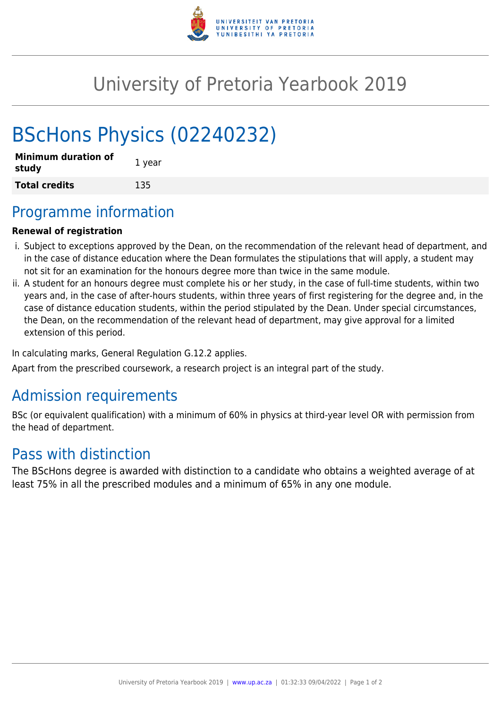

## University of Pretoria Yearbook 2019

# BScHons Physics (02240232)

| <b>Minimum duration of</b><br>study | 1 year |
|-------------------------------------|--------|
| <b>Total credits</b>                | 135    |

### Programme information

#### **Renewal of registration**

- i. Subject to exceptions approved by the Dean, on the recommendation of the relevant head of department, and in the case of distance education where the Dean formulates the stipulations that will apply, a student may not sit for an examination for the honours degree more than twice in the same module.
- ii. A student for an honours degree must complete his or her study, in the case of full-time students, within two years and, in the case of after-hours students, within three years of first registering for the degree and, in the case of distance education students, within the period stipulated by the Dean. Under special circumstances, the Dean, on the recommendation of the relevant head of department, may give approval for a limited extension of this period.

In calculating marks, General Regulation G.12.2 applies.

Apart from the prescribed coursework, a research project is an integral part of the study.

### Admission requirements

BSc (or equivalent qualification) with a minimum of 60% in physics at third-year level OR with permission from the head of department.

### Pass with distinction

The BScHons degree is awarded with distinction to a candidate who obtains a weighted average of at least 75% in all the prescribed modules and a minimum of 65% in any one module.